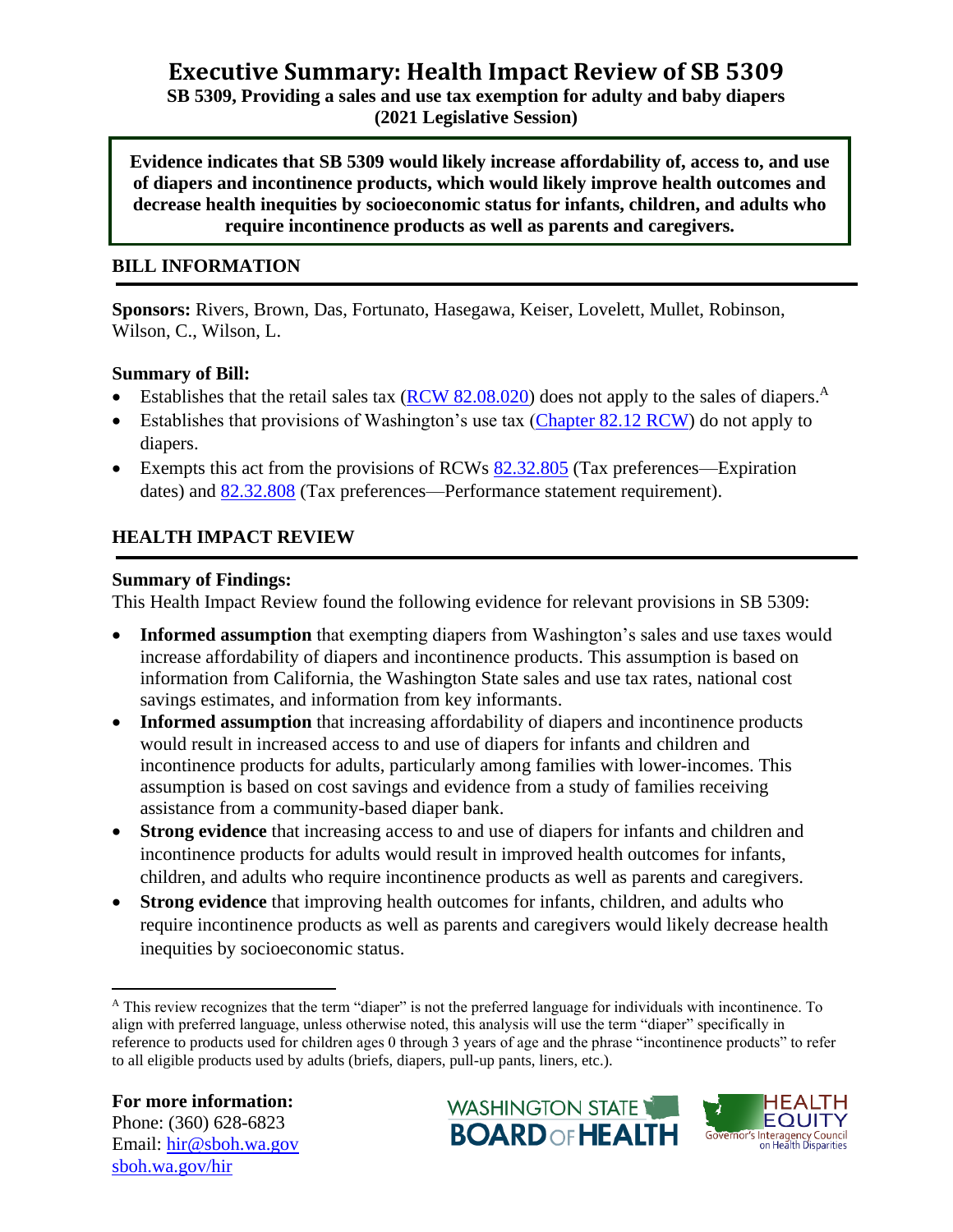# **Executive Summary: Health Impact Review of SB 5309**

**SB 5309, Providing a sales and use tax exemption for adulty and baby diapers (2021 Legislative Session)**

**Evidence indicates that SB 5309 would likely increase affordability of, access to, and use of diapers and incontinence products, which would likely improve health outcomes and decrease health inequities by socioeconomic status for infants, children, and adults who require incontinence products as well as parents and caregivers.**

## **BILL INFORMATION**

**Sponsors:** Rivers, Brown, Das, Fortunato, Hasegawa, Keiser, Lovelett, Mullet, Robinson, Wilson, C., Wilson, L.

## **Summary of Bill:**

- Establishes that the retail sales tax  $(RCW 82.08.020)$  does not apply to the sales of diapers.<sup>A</sup>
- Establishes that provisions of Washington's use tax [\(Chapter 82.12 RCW\)](https://app.leg.wa.gov/RCW/default.aspx?cite=82.12) do not apply to diapers.
- Exempts this act from the provisions of RCWs  $82.32.805$  (Tax preferences—Expiration dates) and [82.32.808](https://app.leg.wa.gov/RCW/default.aspx?cite=82.32.808) (Tax preferences—Performance statement requirement).

## **HEALTH IMPACT REVIEW**

## **Summary of Findings:**

This Health Impact Review found the following evidence for relevant provisions in SB 5309:

- **Informed assumption** that exempting diapers from Washington's sales and use taxes would increase affordability of diapers and incontinence products. This assumption is based on information from California, the Washington State sales and use tax rates, national cost savings estimates, and information from key informants.
- **Informed assumption** that increasing affordability of diapers and incontinence products would result in increased access to and use of diapers for infants and children and incontinence products for adults, particularly among families with lower-incomes. This assumption is based on cost savings and evidence from a study of families receiving assistance from a community-based diaper bank.
- **Strong evidence** that increasing access to and use of diapers for infants and children and incontinence products for adults would result in improved health outcomes for infants, children, and adults who require incontinence products as well as parents and caregivers.
- **Strong evidence** that improving health outcomes for infants, children, and adults who require incontinence products as well as parents and caregivers would likely decrease health inequities by socioeconomic status.





<sup>&</sup>lt;sup>A</sup> This review recognizes that the term "diaper" is not the preferred language for individuals with incontinence. To align with preferred language, unless otherwise noted, this analysis will use the term "diaper" specifically in reference to products used for children ages 0 through 3 years of age and the phrase "incontinence products" to refer to all eligible products used by adults (briefs, diapers, pull-up pants, liners, etc.).